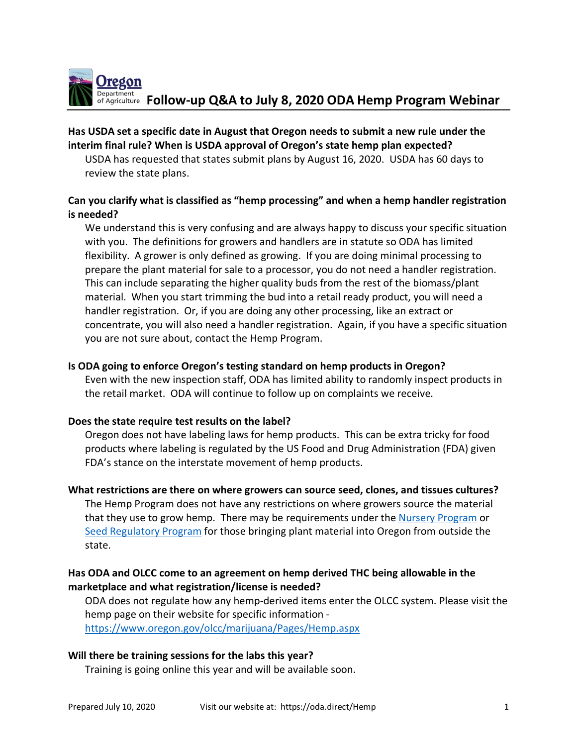

# **Has USDA set a specific date in August that Oregon needs to submit a new rule under the interim final rule? When is USDA approval of Oregon's state hemp plan expected?**

USDA has requested that states submit plans by August 16, 2020. USDA has 60 days to review the state plans.

# **Can you clarify what is classified as "hemp processing" and when a hemp handler registration is needed?**

We understand this is very confusing and are always happy to discuss your specific situation with you. The definitions for growers and handlers are in statute so ODA has limited flexibility. A grower is only defined as growing. If you are doing minimal processing to prepare the plant material for sale to a processor, you do not need a handler registration. This can include separating the higher quality buds from the rest of the biomass/plant material. When you start trimming the bud into a retail ready product, you will need a handler registration. Or, if you are doing any other processing, like an extract or concentrate, you will also need a handler registration. Again, if you have a specific situation you are not sure about, contact the Hemp Program.

## **Is ODA going to enforce Oregon's testing standard on hemp products in Oregon?**

Even with the new inspection staff, ODA has limited ability to randomly inspect products in the retail market. ODA will continue to follow up on complaints we receive.

## **Does the state require test results on the label?**

Oregon does not have labeling laws for hemp products. This can be extra tricky for food products where labeling is regulated by the US Food and Drug Administration (FDA) given FDA's stance on the interstate movement of hemp products.

**What restrictions are there on where growers can source seed, clones, and tissues cultures?** The Hemp Program does not have any restrictions on where growers source the material that they use to grow hemp. There may be requirements under the Nursery Program or Seed Regulatory Program for those bringing plant material into Oregon from outside the state.

# **Has ODA and OLCC come to an agreement on hemp derived THC being allowable in the marketplace and what registration/license is needed?**

ODA does not regulate how any hemp-derived items enter the OLCC system. Please visit the hemp page on their website for specific information https://www.oregon.gov/olcc/marijuana/Pages/Hemp.aspx

## **Will there be training sessions for the labs this year?**

Training is going online this year and will be available soon.